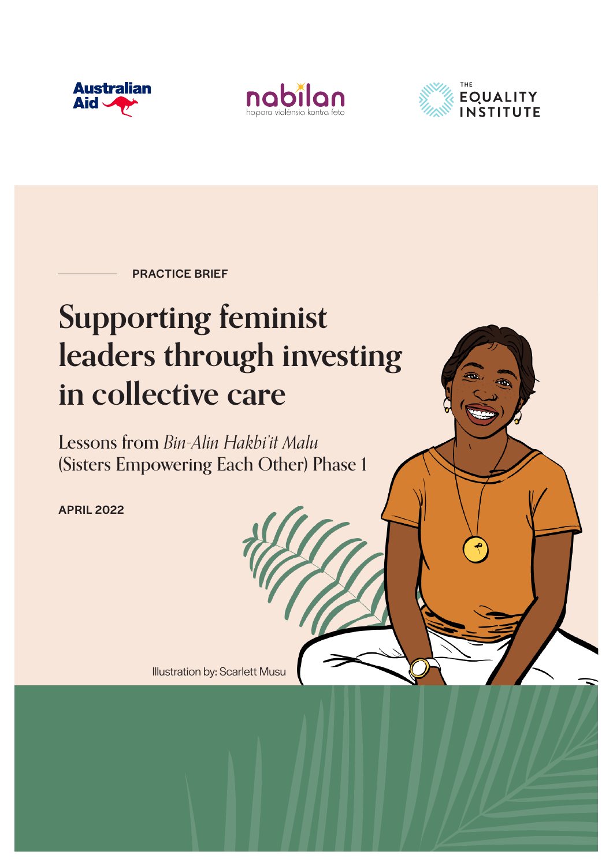





PRACTICE BRIEF

# **Supporting feminist leaders through investing in collective care**

Lessons from *Bin-Alin Hakbi'it Malu* (Sisters Empowering Each Other) Phase 1

APRIL 2022

Illustration by: Scarlett Musu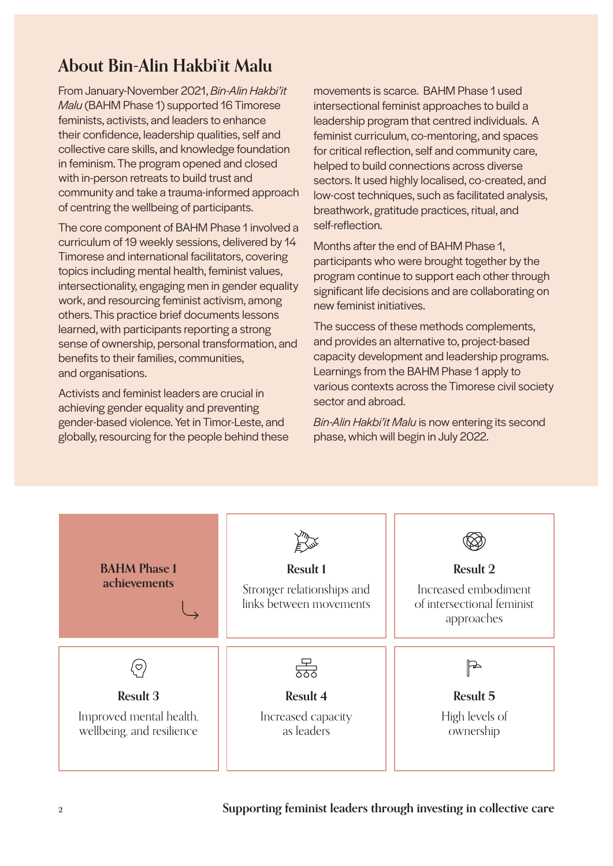# **About Bin-Alin Hakbi'it Malu**

From January-November 2021, *Bin-Alin Hakbi'it Malu* (BAHM Phase 1) supported 16 Timorese feminists, activists, and leaders to enhance their confidence, leadership qualities, self and collective care skills, and knowledge foundation in feminism. The program opened and closed with in-person retreats to build trust and community and take a trauma-informed approach of centring the wellbeing of participants.

The core component of BAHM Phase 1 involved a curriculum of 19 weekly sessions, delivered by 14 Timorese and international facilitators, covering topics including mental health, feminist values, intersectionality, engaging men in gender equality work, and resourcing feminist activism, among others. This practice brief documents lessons learned, with participants reporting a strong sense of ownership, personal transformation, and benefits to their families, communities, and organisations.

Activists and feminist leaders are crucial in achieving gender equality and preventing gender-based violence. Yet in Timor-Leste, and globally, resourcing for the people behind these

movements is scarce. BAHM Phase 1 used intersectional feminist approaches to build a leadership program that centred individuals. A feminist curriculum, co-mentoring, and spaces for critical reflection, self and community care, helped to build connections across diverse sectors. It used highly localised, co-created, and low-cost techniques, such as facilitated analysis, breathwork, gratitude practices, ritual, and self-reflection.

Months after the end of BAHM Phase 1, participants who were brought together by the program continue to support each other through significant life decisions and are collaborating on new feminist initiatives.

The success of these methods complements, and provides an alternative to, project-based capacity development and leadership programs. Learnings from the BAHM Phase 1 apply to various contexts across the Timorese civil society sector and abroad.

*Bin-Alin Hakbi'it Malu* is now entering its second phase, which will begin in July 2022.

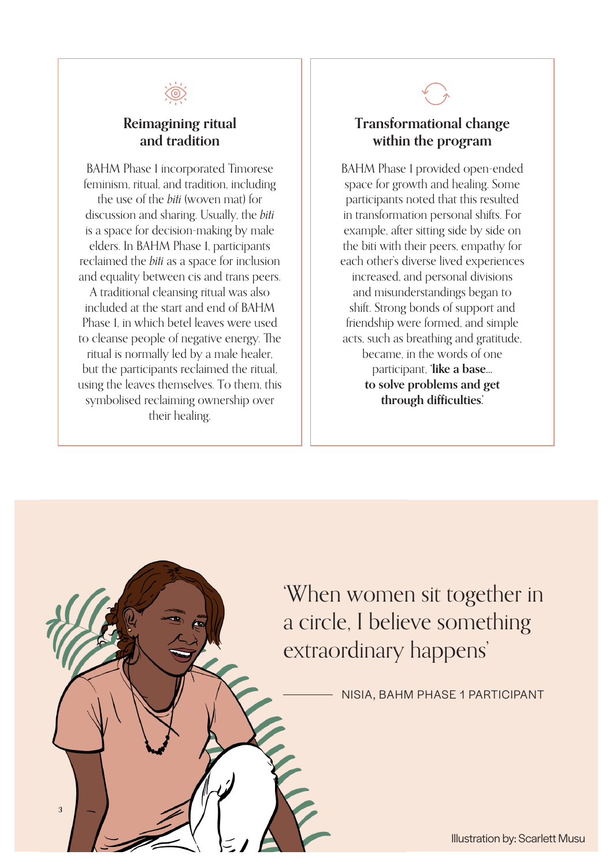

### **Reimagining ritual and tradition**

BAHM Phase 1 incorporated Timorese feminism, ritual, and tradition, including the use of the *biti* (woven mat) for discussion and sharing. Usually, the *biti*  is a space for decision-making by male elders. In BAHM Phase 1, participants reclaimed the *biti* as a space for inclusion and equality between cis and trans peers. A traditional cleansing ritual was also included at the start and end of BAHM Phase 1, in which betel leaves were used to cleanse people of negative energy. The ritual is normally led by a male healer, but the participants reclaimed the ritual, using the leaves themselves. To them, this symbolised reclaiming ownership over their healing.



## **Transformational change within the program**

BAHM Phase 1 provided open-ended space for growth and healing. Some participants noted that this resulted in transformation personal shifts. For example, after sitting side by side on the biti with their peers, empathy for each other's diverse lived experiences increased, and personal divisions and misunderstandings began to shift. Strong bonds of support and friendship were formed, and simple acts, such as breathing and gratitude, became, in the words of one participant, **'like a base… to solve problems and get through difficulties.'**

'When women sit together in a circle, I believe something extraordinary happens'

 $\mathbf{3}$  **Supporting feminist leaders the collection in collection in collection** 

NISIA, BAHM PHASE 1 PARTICIPANT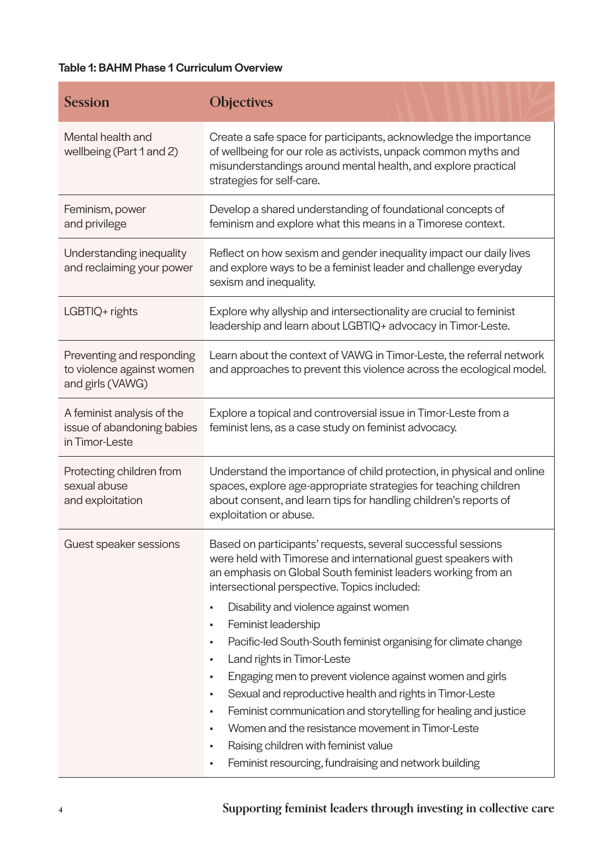#### Table 1: BAHM Phase 1 Curriculum Overview

| <b>Session</b>                                                             | <b>Objectives</b>                                                                                                                                                                                                                                                                                                                                                                                                                                                                                                                |
|----------------------------------------------------------------------------|----------------------------------------------------------------------------------------------------------------------------------------------------------------------------------------------------------------------------------------------------------------------------------------------------------------------------------------------------------------------------------------------------------------------------------------------------------------------------------------------------------------------------------|
| Mental health and<br>wellbeing (Part 1 and 2)                              | Create a safe space for participants, acknowledge the importance<br>of wellbeing for our role as activists, unpack common myths and<br>misunderstandings around mental health, and explore practical<br>strategies for self-care.                                                                                                                                                                                                                                                                                                |
| Feminism, power<br>and privilege                                           | Develop a shared understanding of foundational concepts of<br>feminism and explore what this means in a Timorese context.                                                                                                                                                                                                                                                                                                                                                                                                        |
| Understanding inequality<br>and reclaiming your power                      | Reflect on how sexism and gender inequality impact our daily lives<br>and explore ways to be a feminist leader and challenge everyday<br>sexism and inequality.                                                                                                                                                                                                                                                                                                                                                                  |
| LGBTIQ+ rights                                                             | Explore why allyship and intersectionality are crucial to feminist<br>leadership and learn about LGBTIQ+ advocacy in Timor-Leste.                                                                                                                                                                                                                                                                                                                                                                                                |
| Preventing and responding<br>to violence against women<br>and girls (VAWG) | Learn about the context of VAWG in Timor-Leste, the referral network<br>and approaches to prevent this violence across the ecological model.                                                                                                                                                                                                                                                                                                                                                                                     |
| A feminist analysis of the<br>issue of abandoning babies<br>in Timor-Leste | Explore a topical and controversial issue in Timor-Leste from a<br>feminist lens, as a case study on feminist advocacy.                                                                                                                                                                                                                                                                                                                                                                                                          |
| Protecting children from<br>sexual abuse<br>and exploitation               | Understand the importance of child protection, in physical and online<br>spaces, explore age-appropriate strategies for teaching children<br>about consent, and learn tips for handling children's reports of<br>exploitation or abuse.                                                                                                                                                                                                                                                                                          |
| Guest speaker sessions                                                     | Based on participants' requests, several successful sessions<br>were held with Timorese and international guest speakers with<br>an emphasis on Global South feminist leaders working from an<br>intersectional perspective. Topics included:                                                                                                                                                                                                                                                                                    |
|                                                                            | Disability and violence against women<br>Feminist leadership<br>Pacific-led South-South feminist organising for climate change<br>Land rights in Timor-Leste<br>٠<br>Engaging men to prevent violence against women and girls<br>٠<br>Sexual and reproductive health and rights in Timor-Leste<br>Feminist communication and storytelling for healing and justice<br>Women and the resistance movement in Timor-Leste<br>Raising children with feminist value<br>٠<br>Feminist resourcing, fundraising and network building<br>٠ |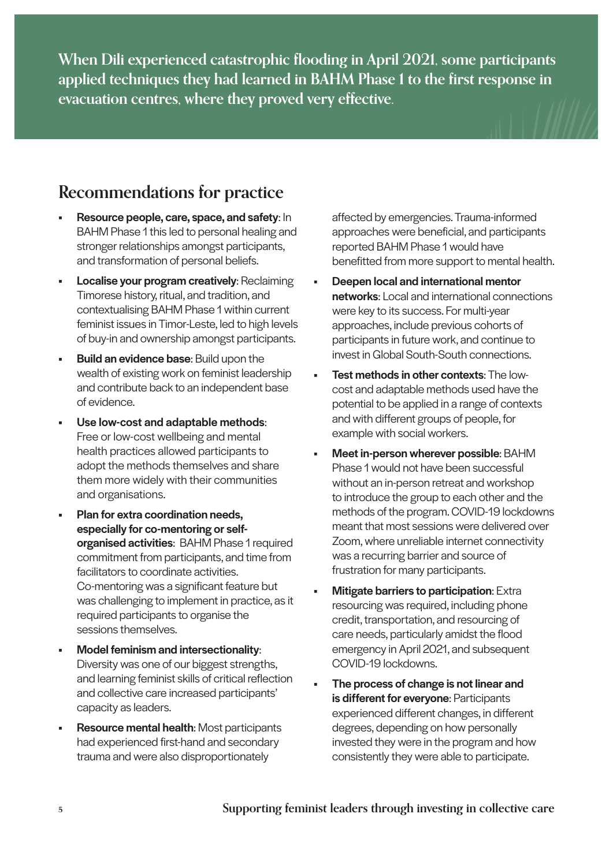**When Dili experienced catastrophic flooding in April 2021, some participants applied techniques they had learned in BAHM Phase 1 to the first response in evacuation centres, where they proved very effective.**

## **Recommendations for practice**

- Resource people, care, space, and safety: In BAHM Phase 1 this led to personal healing and stronger relationships amongst participants, and transformation of personal beliefs.
- **Localise your program creatively: Reclaiming** Timorese history, ritual, and tradition, and contextualising BAHM Phase 1 within current feminist issues in Timor-Leste, led to high levels of buy-in and ownership amongst participants.
- **Build an evidence base:** Build upon the wealth of existing work on feminist leadership and contribute back to an independent base of evidence.
- Use low-cost and adaptable methods: Free or low-cost wellbeing and mental health practices allowed participants to adopt the methods themselves and share them more widely with their communities and organisations.
- Plan for extra coordination needs, especially for co-mentoring or selforganised activities: BAHM Phase 1 required commitment from participants, and time from facilitators to coordinate activities. Co-mentoring was a significant feature but was challenging to implement in practice, as it required participants to organise the sessions themselves.
- Model feminism and intersectionality: Diversity was one of our biggest strengths, and learning feminist skills of critical reflection and collective care increased participants' capacity as leaders.
- Resource mental health: Most participants had experienced first-hand and secondary trauma and were also disproportionately

affected by emergencies. Trauma-informed approaches were beneficial, and participants reported BAHM Phase 1 would have benefitted from more support to mental health.

- Deepen local and international mentor networks: Local and international connections were key to its success. For multi-year approaches, include previous cohorts of participants in future work, and continue to invest in Global South-South connections.
- **Test methods in other contexts: The low**cost and adaptable methods used have the potential to be applied in a range of contexts and with different groups of people, for example with social workers.
- Meet in-person wherever possible: BAHM Phase 1 would not have been successful without an in-person retreat and workshop to introduce the group to each other and the methods of the program. COVID-19 lockdowns meant that most sessions were delivered over Zoom, where unreliable internet connectivity was a recurring barrier and source of frustration for many participants.
- **Mitigate barriers to participation: Extra** resourcing was required, including phone credit, transportation, and resourcing of care needs, particularly amidst the flood emergency in April 2021, and subsequent COVID-19 lockdowns.
- The process of change is not linear and is different for everyone: Participants experienced different changes, in different degrees, depending on how personally invested they were in the program and how consistently they were able to participate.